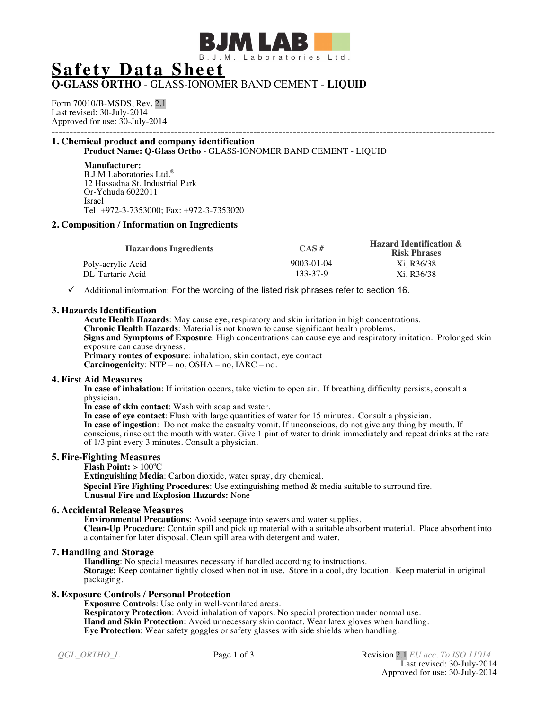

# **Safety Data Sheet**

# **Q-GLASS ORTHO** - GLASS-IONOMER BAND CEMENT - **LIQUID**

Form 70010/B-MSDS, Rev. 2.1 Last revised: 30-July-2014 Approved for use: 30-July-2014

## --------------------------------------------------------------------------------------------------------------------------- **1. Chemical product and company identification**

**Product Name: Q-Glass Ortho** - GLASS-IONOMER BAND CEMENT - LIQUID

#### **Manufacturer:**

B.J.M Laboratories Ltd.® 12 Hassadna St. Industrial Park Or-Yehuda 6022011 Israel Tel: +972-3-7353000; Fax: +972-3-7353020

# **2. Composition / Information on Ingredients**

| <b>Hazardous Ingredients</b> | $CAS \#$   | <b>Hazard Identification &amp;</b><br><b>Risk Phrases</b> |
|------------------------------|------------|-----------------------------------------------------------|
| Poly-acrylic Acid            | 9003-01-04 | Xi. R36/38                                                |
| DL-Tartaric Acid             | 133-37-9   | Xi. R36/38                                                |

 $\checkmark$  Additional information: For the wording of the listed risk phrases refer to section 16.

## **3. Hazards Identification**

**Acute Health Hazards**: May cause eye, respiratory and skin irritation in high concentrations.

**Chronic Health Hazards**: Material is not known to cause significant health problems.

**Signs and Symptoms of Exposure**: High concentrations can cause eye and respiratory irritation. Prolonged skin exposure can cause dryness.

**Primary routes of exposure**: inhalation, skin contact, eye contact **Carcinogenicity**: NTP – no, OSHA – no, IARC – no.

# **4. First Aid Measures**

**In case of inhalation**: If irritation occurs, take victim to open air. If breathing difficulty persists, consult a physician.

**In case of skin contact**: Wash with soap and water.

**In case of eye contact**: Flush with large quantities of water for 15 minutes. Consult a physician.

**In case of ingestion**: Do not make the casualty vomit. If unconscious, do not give any thing by mouth. If conscious, rinse out the mouth with water. Give 1 pint of water to drink immediately and repeat drinks at the rate of 1/3 pint every 3 minutes. Consult a physician.

# **5. Fire-Fighting Measures**

## **Flash Point: > 100°C**

**Extinguishing Media**: Carbon dioxide, water spray, dry chemical.

**Special Fire Fighting Procedures**: Use extinguishing method & media suitable to surround fire. **Unusual Fire and Explosion Hazards:** None

## **6. Accidental Release Measures**

**Environmental Precautions**: Avoid seepage into sewers and water supplies. **Clean-Up Procedure**: Contain spill and pick up material with a suitable absorbent material. Place absorbent into a container for later disposal. Clean spill area with detergent and water.

# **7. Handling and Storage**

**Handling**: No special measures necessary if handled according to instructions. **Storage:** Keep container tightly closed when not in use. Store in a cool, dry location. Keep material in original packaging.

# **8. Exposure Controls / Personal Protection**

**Exposure Controls**: Use only in well-ventilated areas. **Respiratory Protection**: Avoid inhalation of vapors. No special protection under normal use.

**Hand and Skin Protection**: Avoid unnecessary skin contact. Wear latex gloves when handling.

**Eye Protection**: Wear safety goggles or safety glasses with side shields when handling.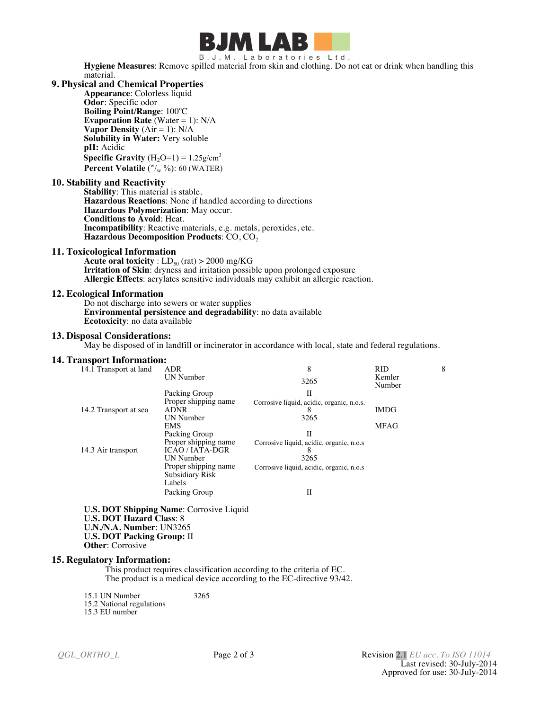

B.J.M. Laboratories Ltd.

**Hygiene Measures**: Remove spilled material from skin and clothing. Do not eat or drink when handling this material.

# **9. Physical and Chemical Properties**

**Appearance**: Colorless liquid **Odor**: Specific odor **Boiling Point/Range**: 100°C **Evaporation Rate** (Water = 1): N/A **Vapor Density**  $(Air = 1)$ :  $N/A$ **Solubility in Water:** Very soluble **pH:** Acidic **Specific Gravity**  $(H_2O=1) = 1.25g/cm^3$ **Percent Volatile** ( $\sqrt[w]{w}$ %): 60 (WATER)

#### **10. Stability and Reactivity**

**Stability**: This material is stable. **Hazardous Reactions**: None if handled according to directions **Hazardous Polymerization**: May occur. **Conditions to Avoid**: Heat. **Incompatibility**: Reactive materials, e.g. metals, peroxides, etc. **Hazardous Decomposition Products**: CO, CO2

#### **11. Toxicological Information**

**Acute oral toxicity** :  $LD_{50}$  (rat) > 2000 mg/KG **Irritation of Skin**: dryness and irritation possible upon prolonged exposure **Allergic Effects**: acrylates sensitive individuals may exhibit an allergic reaction.

#### **12. Ecological Information**

Do not discharge into sewers or water supplies **Environmental persistence and degradability**: no data available **Ecotoxicity**: no data available

#### **13. Disposal Considerations:**

May be disposed of in landfill or incinerator in accordance with local, state and federal regulations.

#### **14. Transport Information:**

| 14.1 Transport at land | <b>ADR</b>           | 8                                         | <b>RID</b>       | 8 |
|------------------------|----------------------|-------------------------------------------|------------------|---|
|                        | UN Number            | 3265                                      | Kemler<br>Number |   |
|                        | Packing Group        | Н                                         |                  |   |
|                        | Proper shipping name | Corrosive liquid, acidic, organic, n.o.s. |                  |   |
| 14.2 Transport at sea  | <b>ADNR</b>          | ŏ                                         | <b>IMDG</b>      |   |
|                        | <b>UN</b> Number     | 3265                                      |                  |   |
|                        | <b>EMS</b>           |                                           | <b>MFAG</b>      |   |
|                        | Packing Group        | П                                         |                  |   |
|                        | Proper shipping name | Corrosive liquid, acidic, organic, n.o.s  |                  |   |
| 14.3 Air transport     | <b>ICAO/IATA-DGR</b> |                                           |                  |   |
|                        | UN Number            | 3265                                      |                  |   |
|                        | Proper shipping name | Corrosive liquid, acidic, organic, n.o.s  |                  |   |
|                        | Subsidiary Risk      |                                           |                  |   |
|                        | Labels               |                                           |                  |   |
|                        | Packing Group        | П                                         |                  |   |

**U.S. DOT Shipping Name**: Corrosive Liquid **U.S. DOT Hazard Class**: 8 **U.N./N.A. Number**: UN3265 **U.S. DOT Packing Group:** II **Other**: Corrosive

#### **15. Regulatory Information:**

This product requires classification according to the criteria of EC. The product is a medical device according to the EC-directive 93/42.

15.1 UN Number 3265 15.2 National regulations

15.3 EU number